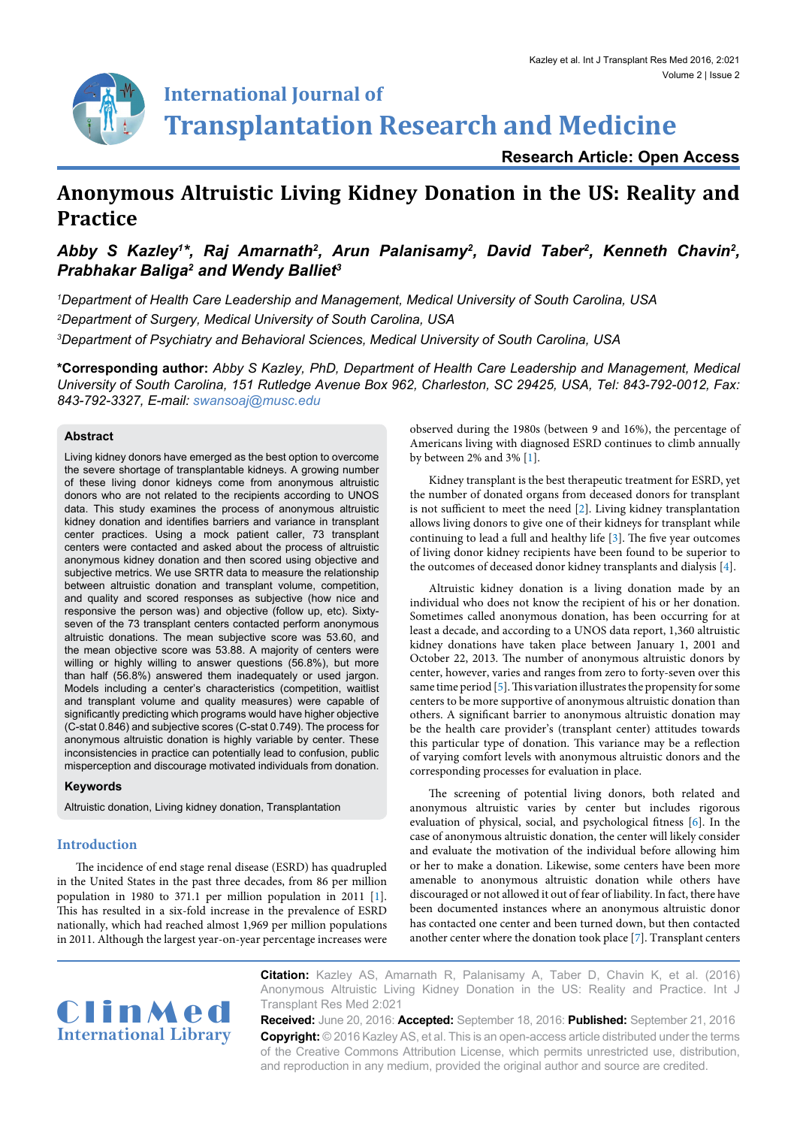

# **International Journal of Transplantation Research and Medicine**

**Research Article: Open Access**

## **Anonymous Altruistic Living Kidney Donation in the US: Reality and Practice**

### Abby S Kazley<sup>1\*</sup>, Raj Amarnath<sup>2</sup>, Arun Palanisamy<sup>2</sup>, David Taber<sup>2</sup>, Kenneth Chavin<sup>2</sup>, *Prabhakar Baliga2 and Wendy Balliet3*

*1 Department of Health Care Leadership and Management, Medical University of South Carolina, USA 2 Department of Surgery, Medical University of South Carolina, USA 3 Department of Psychiatry and Behavioral Sciences, Medical University of South Carolina, USA*

**\*Corresponding author:** *Abby S Kazley, PhD, Department of Health Care Leadership and Management, Medical University of South Carolina, 151 Rutledge Avenue Box 962, Charleston, SC 29425, USA, Tel: 843-792-0012, Fax: 843-792-3327, E-mail: swansoaj@musc.edu*

#### **Abstract**

Living kidney donors have emerged as the best option to overcome the severe shortage of transplantable kidneys. A growing number of these living donor kidneys come from anonymous altruistic donors who are not related to the recipients according to UNOS data. This study examines the process of anonymous altruistic kidney donation and identifies barriers and variance in transplant center practices. Using a mock patient caller, 73 transplant centers were contacted and asked about the process of altruistic anonymous kidney donation and then scored using objective and subjective metrics. We use SRTR data to measure the relationship between altruistic donation and transplant volume, competition, and quality and scored responses as subjective (how nice and responsive the person was) and objective (follow up, etc). Sixtyseven of the 73 transplant centers contacted perform anonymous altruistic donations. The mean subjective score was 53.60, and the mean objective score was 53.88. A majority of centers were willing or highly willing to answer questions (56.8%), but more than half (56.8%) answered them inadequately or used jargon. Models including a center's characteristics (competition, waitlist and transplant volume and quality measures) were capable of significantly predicting which programs would have higher objective (C-stat 0.846) and subjective scores (C-stat 0.749). The process for anonymous altruistic donation is highly variable by center. These inconsistencies in practice can potentially lead to confusion, public misperception and discourage motivated individuals from donation.

#### **Keywords**

Altruistic donation, Living kidney donation, Transplantation

#### **Introduction**

The incidence of end stage renal disease (ESRD) has quadrupled in the United States in the past three decades, from 86 per million population in 1980 to 371.1 per million population in 2011 [[1\]](#page-4-0). This has resulted in a six-fold increase in the prevalence of ESRD nationally, which had reached almost 1,969 per million populations in 2011. Although the largest year-on-year percentage increases were

observed during the 1980s (between 9 and 16%), the percentage of Americans living with diagnosed ESRD continues to climb annually by between 2% and 3% [\[1](#page-4-0)].

Kidney transplant is the best therapeutic treatment for ESRD, yet the number of donated organs from deceased donors for transplant is not sufficient to meet the need [[2\]](#page-4-1). Living kidney transplantation allows living donors to give one of their kidneys for transplant while continuing to lead a full and healthy life [\[3\]](#page-4-2). The five year outcomes of living donor kidney recipients have been found to be superior to the outcomes of deceased donor kidney transplants and dialysis [[4\]](#page-4-3).

Altruistic kidney donation is a living donation made by an individual who does not know the recipient of his or her donation. Sometimes called anonymous donation, has been occurring for at least a decade, and according to a UNOS data report, 1,360 altruistic kidney donations have taken place between January 1, 2001 and October 22, 2013. The number of anonymous altruistic donors by center, however, varies and ranges from zero to forty-seven over this same time period [[5](#page-4-4)]. This variation illustrates the propensity for some centers to be more supportive of anonymous altruistic donation than others. A significant barrier to anonymous altruistic donation may be the health care provider's (transplant center) attitudes towards this particular type of donation. This variance may be a reflection of varying comfort levels with anonymous altruistic donors and the corresponding processes for evaluation in place.

The screening of potential living donors, both related and anonymous altruistic varies by center but includes rigorous evaluation of physical, social, and psychological fitness [\[6\]](#page-4-5). In the case of anonymous altruistic donation, the center will likely consider and evaluate the motivation of the individual before allowing him or her to make a donation. Likewise, some centers have been more amenable to anonymous altruistic donation while others have discouraged or not allowed it out of fear of liability. In fact, there have been documented instances where an anonymous altruistic donor has contacted one center and been turned down, but then contacted another center where the donation took place [\[7\]](#page-4-6). Transplant centers



**Citation:** Kazley AS, Amarnath R, Palanisamy A, Taber D, Chavin K, et al. (2016) Anonymous Altruistic Living Kidney Donation in the US: Reality and Practice. Int J Transplant Res Med 2:021

**Received:** June 20, 2016: **Accepted:** September 18, 2016: **Published:** September 21, 2016 **Copyright:** © 2016 Kazley AS, et al. This is an open-access article distributed under the terms of the Creative Commons Attribution License, which permits unrestricted use, distribution, and reproduction in any medium, provided the original author and source are credited.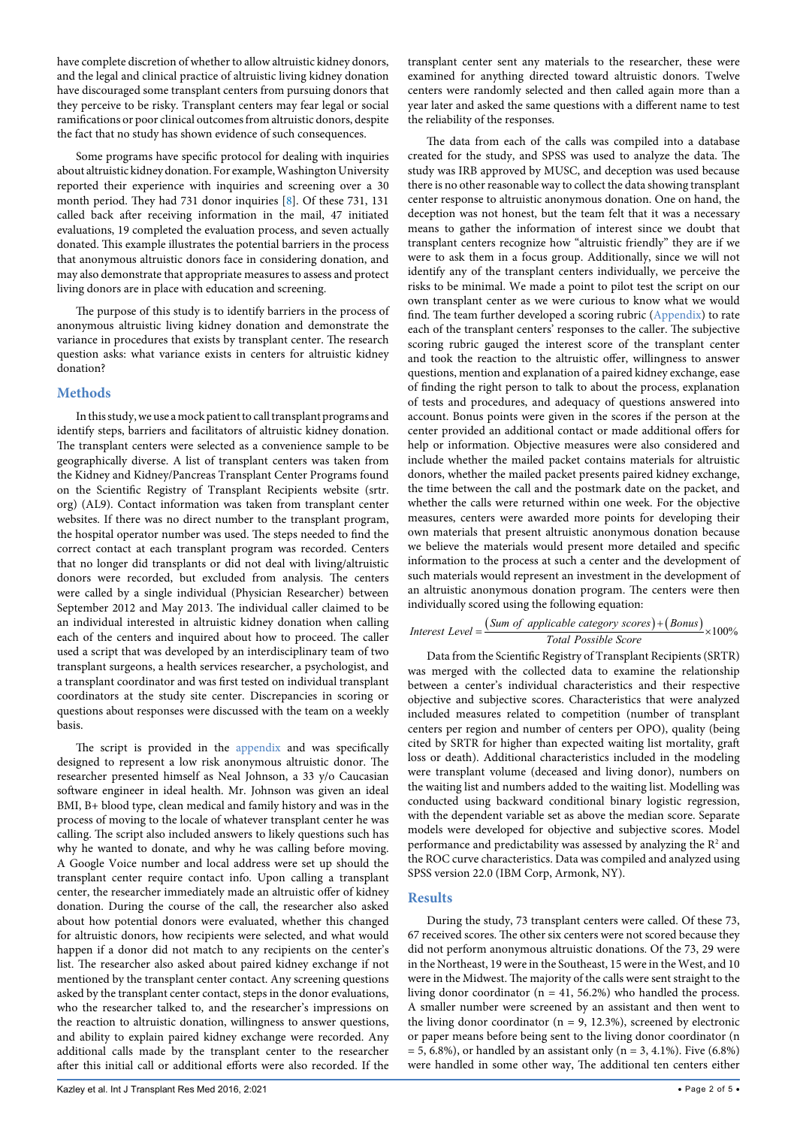have complete discretion of whether to allow altruistic kidney donors, and the legal and clinical practice of altruistic living kidney donation have discouraged some transplant centers from pursuing donors that they perceive to be risky. Transplant centers may fear legal or social ramifications or poor clinical outcomes from altruistic donors, despite the fact that no study has shown evidence of such consequences.

Some programs have specific protocol for dealing with inquiries about altruistic kidney donation. For example, Washington University reported their experience with inquiries and screening over a 30 month period. They had 731 donor inquiries [[8](#page-4-7)]. Of these 731, 131 called back after receiving information in the mail, 47 initiated evaluations, 19 completed the evaluation process, and seven actually donated. This example illustrates the potential barriers in the process that anonymous altruistic donors face in considering donation, and may also demonstrate that appropriate measures to assess and protect living donors are in place with education and screening.

The purpose of this study is to identify barriers in the process of anonymous altruistic living kidney donation and demonstrate the variance in procedures that exists by transplant center. The research question asks: what variance exists in centers for altruistic kidney donation?

#### **Methods**

In this study, we use a mock patient to call transplant programs and identify steps, barriers and facilitators of altruistic kidney donation. The transplant centers were selected as a convenience sample to be geographically diverse. A list of transplant centers was taken from the Kidney and Kidney/Pancreas Transplant Center Programs found on the Scientific Registry of Transplant Recipients website (srtr. org) (AL9). Contact information was taken from transplant center websites. If there was no direct number to the transplant program, the hospital operator number was used. The steps needed to find the correct contact at each transplant program was recorded. Centers that no longer did transplants or did not deal with living/altruistic donors were recorded, but excluded from analysis. The centers were called by a single individual (Physician Researcher) between September 2012 and May 2013. The individual caller claimed to be an individual interested in altruistic kidney donation when calling each of the centers and inquired about how to proceed. The caller used a script that was developed by an interdisciplinary team of two transplant surgeons, a health services researcher, a psychologist, and a transplant coordinator and was first tested on individual transplant coordinators at the study site center. Discrepancies in scoring or questions about responses were discussed with the team on a weekly basis.

The script is provided in the [appendix](http://clinmedjournals.org/articles/ijtrm/ijtrm-2-021-appendix.doc) and was specifically designed to represent a low risk anonymous altruistic donor. The researcher presented himself as Neal Johnson, a 33 y/o Caucasian software engineer in ideal health. Mr. Johnson was given an ideal BMI, B+ blood type, clean medical and family history and was in the process of moving to the locale of whatever transplant center he was calling. The script also included answers to likely questions such has why he wanted to donate, and why he was calling before moving. A Google Voice number and local address were set up should the transplant center require contact info. Upon calling a transplant center, the researcher immediately made an altruistic offer of kidney donation. During the course of the call, the researcher also asked about how potential donors were evaluated, whether this changed for altruistic donors, how recipients were selected, and what would happen if a donor did not match to any recipients on the center's list. The researcher also asked about paired kidney exchange if not mentioned by the transplant center contact. Any screening questions asked by the transplant center contact, steps in the donor evaluations, who the researcher talked to, and the researcher's impressions on the reaction to altruistic donation, willingness to answer questions, and ability to explain paired kidney exchange were recorded. Any additional calls made by the transplant center to the researcher after this initial call or additional efforts were also recorded. If the

transplant center sent any materials to the researcher, these were examined for anything directed toward altruistic donors. Twelve centers were randomly selected and then called again more than a year later and asked the same questions with a different name to test the reliability of the responses.

The data from each of the calls was compiled into a database created for the study, and SPSS was used to analyze the data. The study was IRB approved by MUSC, and deception was used because there is no other reasonable way to collect the data showing transplant center response to altruistic anonymous donation. One on hand, the deception was not honest, but the team felt that it was a necessary means to gather the information of interest since we doubt that transplant centers recognize how "altruistic friendly" they are if we were to ask them in a focus group. Additionally, since we will not identify any of the transplant centers individually, we perceive the risks to be minimal. We made a point to pilot test the script on our own transplant center as we were curious to know what we would find. The team further developed a scoring rubric [\(Appendix](http://clinmedjournals.org/articles/ijtrm/ijtrm-2-021-appendix.doc)) to rate each of the transplant centers' responses to the caller. The subjective scoring rubric gauged the interest score of the transplant center and took the reaction to the altruistic offer, willingness to answer questions, mention and explanation of a paired kidney exchange, ease of finding the right person to talk to about the process, explanation of tests and procedures, and adequacy of questions answered into account. Bonus points were given in the scores if the person at the center provided an additional contact or made additional offers for help or information. Objective measures were also considered and include whether the mailed packet contains materials for altruistic donors, whether the mailed packet presents paired kidney exchange, the time between the call and the postmark date on the packet, and whether the calls were returned within one week. For the objective measures, centers were awarded more points for developing their own materials that present altruistic anonymous donation because we believe the materials would present more detailed and specific information to the process at such a center and the development of such materials would represent an investment in the development of an altruistic anonymous donation program. The centers were then individually scored using the following equation:

Interest Level = 
$$
\frac{(Sum of applicable category scores) + (Bonus)}{Total Possible Score} \times 100\%
$$

Data from the Scientific Registry of Transplant Recipients (SRTR) was merged with the collected data to examine the relationship between a center's individual characteristics and their respective objective and subjective scores. Characteristics that were analyzed included measures related to competition (number of transplant centers per region and number of centers per OPO), quality (being cited by SRTR for higher than expected waiting list mortality, graft loss or death). Additional characteristics included in the modeling were transplant volume (deceased and living donor), numbers on the waiting list and numbers added to the waiting list. Modelling was conducted using backward conditional binary logistic regression, with the dependent variable set as above the median score. Separate models were developed for objective and subjective scores. Model performance and predictability was assessed by analyzing the  $R<sup>2</sup>$  and the ROC curve characteristics. Data was compiled and analyzed using SPSS version 22.0 (IBM Corp, Armonk, NY).

#### **Results**

During the study, 73 transplant centers were called. Of these 73, 67 received scores. The other six centers were not scored because they did not perform anonymous altruistic donations. Of the 73, 29 were in the Northeast, 19 were in the Southeast, 15 were in the West, and 10 were in the Midwest. The majority of the calls were sent straight to the living donor coordinator (n = 41, 56.2%) who handled the process. A smaller number were screened by an assistant and then went to the living donor coordinator ( $n = 9$ , 12.3%), screened by electronic or paper means before being sent to the living donor coordinator (n  $= 5, 6.8\%$ , or handled by an assistant only (n = 3, 4.1%). Five (6.8%) were handled in some other way, The additional ten centers either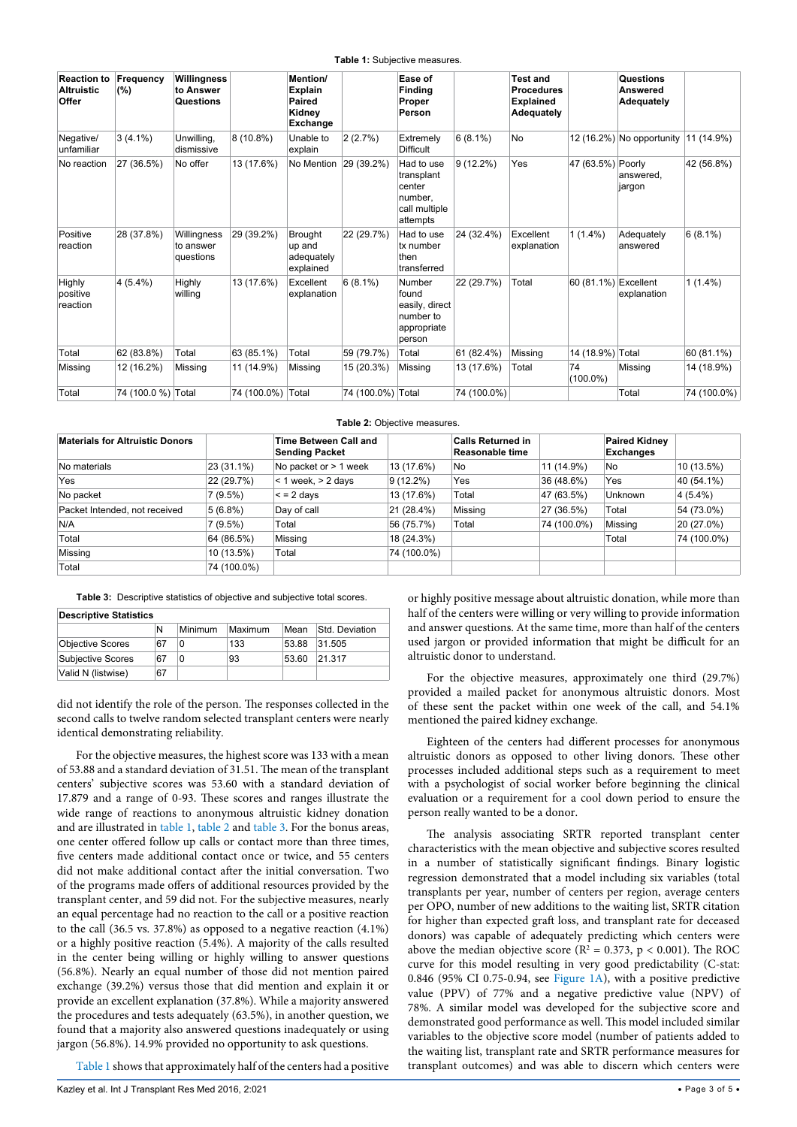#### <span id="page-2-0"></span>**Table 1: Subjective measures.**

| <b>Reaction to</b><br><b>Altruistic</b><br>Offer | Frequency<br>(%)   | Willingness<br>to Answer<br>Questions |                   | <b>Mention/</b><br><b>Explain</b><br>Paired<br>Kidney<br>Exchange |                   | Ease of<br><b>Finding</b><br>Proper<br>Person                              |             | <b>Test and</b><br><b>Procedures</b><br><b>Explained</b><br>Adequately |                      | Questions<br><b>Answered</b><br>Adequately |             |
|--------------------------------------------------|--------------------|---------------------------------------|-------------------|-------------------------------------------------------------------|-------------------|----------------------------------------------------------------------------|-------------|------------------------------------------------------------------------|----------------------|--------------------------------------------|-------------|
| Negative/<br>unfamiliar                          | $3(4.1\%)$         | Unwilling,<br>dismissive              | 8 (10.8%)         | Unable to<br>explain                                              | 2(2.7%)           | Extremely<br><b>Difficult</b>                                              | $6(8.1\%)$  | <b>No</b>                                                              |                      | 12 (16.2%) No opportunity                  | 11 (14.9%)  |
| No reaction                                      | 27 (36.5%)         | No offer                              | 13 (17.6%)        | No Mention                                                        | 29 (39.2%)        | Had to use<br>transplant<br>center<br>number,<br>call multiple<br>attempts | $9(12.2\%)$ | Yes                                                                    | 47 (63.5%) Poorly    | answered,<br>jargon                        | 42 (56.8%)  |
| Positive<br>reaction                             | 28 (37.8%)         | Willingness<br>to answer<br>questions | 29 (39.2%)        | <b>Brought</b><br>up and<br>adequately<br>explained               | 22 (29.7%)        | Had to use<br>tx number<br>then<br>transferred                             | 24 (32.4%)  | Excellent<br>explanation                                               | $1(1.4\%)$           | Adequately<br>answered                     | $6(8.1\%)$  |
| Highly<br>positive<br>reaction                   | $4(5.4\%)$         | Highly<br>willing                     | 13 (17.6%)        | Excellent<br>explanation                                          | $6(8.1\%)$        | Number<br>found<br>easily, direct<br>number to<br>appropriate<br>person    | 22 (29.7%)  | Total                                                                  | 60 (81.1%) Excellent | explanation                                | $1(1.4\%)$  |
| Total                                            | 62 (83.8%)         | Total                                 | 63 (85.1%)        | Total                                                             | 59 (79.7%)        | Total                                                                      | 61 (82.4%)  | Missing                                                                | 14 (18.9%) Total     |                                            | 60 (81.1%)  |
| Missing                                          | 12 (16.2%)         | Missing                               | 11 (14.9%)        | Missing                                                           | 15 (20.3%)        | Missing                                                                    | 13 (17.6%)  | Total                                                                  | 74<br>$(100.0\%)$    | Missing                                    | 14 (18.9%)  |
| Total                                            | 74 (100.0 %) Total |                                       | 74 (100.0%) Total |                                                                   | 74 (100.0%) Total |                                                                            | 74 (100.0%) |                                                                        |                      | Total                                      | 74 (100.0%) |

<span id="page-2-1"></span>**Table 2:** Objective measures.

| <b>Materials for Altruistic Donors</b> |             | Time Between Call and<br><b>Sending Packet</b> |             | <b>Calls Returned in</b><br>Reasonable time |             | <b>Paired Kidney</b><br><b>Exchanges</b> |             |
|----------------------------------------|-------------|------------------------------------------------|-------------|---------------------------------------------|-------------|------------------------------------------|-------------|
| No materials                           | 23 (31.1%)  | No packet or > 1 week                          | 13 (17.6%)  | No                                          | 11 (14.9%)  | <b>No</b>                                | 10 (13.5%)  |
| Yes                                    | 22 (29.7%)  | $<$ 1 week, $>$ 2 days                         | $9(12.2\%)$ | Yes                                         | 36 (48.6%)  | Yes                                      | 40 (54.1%)  |
| No packet                              | 7(9.5%)     | $\leq$ = 2 days                                | 13 (17.6%)  | Total                                       | 47 (63.5%)  | <b>Unknown</b>                           | $4(5.4\%)$  |
| Packet Intended, not received          | $ 5(6.8\%)$ | Day of call                                    | 21 (28.4%)  | Missing                                     | 27 (36.5%)  | Total                                    | 54 (73.0%)  |
| N/A                                    | 7(9.5%)     | Total                                          | 56 (75.7%)  | Total                                       | 74 (100.0%) | Missing                                  | 20 (27.0%)  |
| Total                                  | 64 (86.5%)  | Missing                                        | 18 (24.3%)  |                                             |             | Total                                    | 74 (100.0%) |
| Missing                                | 10 (13.5%)  | Total                                          | 74 (100.0%) |                                             |             |                                          |             |
| Total                                  | 74 (100.0%) |                                                |             |                                             |             |                                          |             |

<span id="page-2-2"></span>**Table 3:** Descriptive statistics of objective and subjective total scores.

| <b>Descriptive Statistics</b> |    |         |         |       |                |  |  |  |
|-------------------------------|----|---------|---------|-------|----------------|--|--|--|
|                               | N  | Minimum | Maximum | Mean  | Std. Deviation |  |  |  |
| <b>Objective Scores</b>       | 67 | 0       | 133     | 53.88 | 31.505         |  |  |  |
| Subjective Scores             | 67 | 0       | 93      | 53.60 | 21.317         |  |  |  |
| Valid N (listwise)            | 67 |         |         |       |                |  |  |  |

did not identify the role of the person. The responses collected in the second calls to twelve random selected transplant centers were nearly identical demonstrating reliability.

For the objective measures, the highest score was 133 with a mean of 53.88 and a standard deviation of 31.51. The mean of the transplant centers' subjective scores was 53.60 with a standard deviation of 17.879 and a range of 0-93. These scores and ranges illustrate the wide range of reactions to anonymous altruistic kidney donation and are illustrated in [table 1](#page-2-0), [table 2](#page-2-1) and [table 3](#page-2-2). For the bonus areas, one center offered follow up calls or contact more than three times, five centers made additional contact once or twice, and 55 centers did not make additional contact after the initial conversation. Two of the programs made offers of additional resources provided by the transplant center, and 59 did not. For the subjective measures, nearly an equal percentage had no reaction to the call or a positive reaction to the call (36.5 vs. 37.8%) as opposed to a negative reaction (4.1%) or a highly positive reaction (5.4%). A majority of the calls resulted in the center being willing or highly willing to answer questions (56.8%). Nearly an equal number of those did not mention paired exchange (39.2%) versus those that did mention and explain it or provide an excellent explanation (37.8%). While a majority answered the procedures and tests adequately (63.5%), in another question, we found that a majority also answered questions inadequately or using jargon (56.8%). 14.9% provided no opportunity to ask questions.

[Table 1](#page-2-0) shows that approximately half of the centers had a positive

Kazley et al. Int J Transplant Res Med 2016, 2:021 **• Page 3 of 5 • Page 3 of 5 •** Page 3 of 5 • **Page 3 of 5 •** 

or highly positive message about altruistic donation, while more than half of the centers were willing or very willing to provide information and answer questions. At the same time, more than half of the centers used jargon or provided information that might be difficult for an altruistic donor to understand.

For the objective measures, approximately one third (29.7%) provided a mailed packet for anonymous altruistic donors. Most of these sent the packet within one week of the call, and 54.1% mentioned the paired kidney exchange.

Eighteen of the centers had different processes for anonymous altruistic donors as opposed to other living donors. These other processes included additional steps such as a requirement to meet with a psychologist of social worker before beginning the clinical evaluation or a requirement for a cool down period to ensure the person really wanted to be a donor.

The analysis associating SRTR reported transplant center characteristics with the mean objective and subjective scores resulted in a number of statistically significant findings. Binary logistic regression demonstrated that a model including six variables (total transplants per year, number of centers per region, average centers per OPO, number of new additions to the waiting list, SRTR citation for higher than expected graft loss, and transplant rate for deceased donors) was capable of adequately predicting which centers were above the median objective score ( $R^2 = 0.373$ ,  $p < 0.001$ ). The ROC curve for this model resulting in very good predictability (C-stat: 0.846 (95% CI 0.75-0.94, see [Figure 1A\)](#page-3-0), with a positive predictive value (PPV) of 77% and a negative predictive value (NPV) of 78%. A similar model was developed for the subjective score and demonstrated good performance as well. This model included similar variables to the objective score model (number of patients added to the waiting list, transplant rate and SRTR performance measures for transplant outcomes) and was able to discern which centers were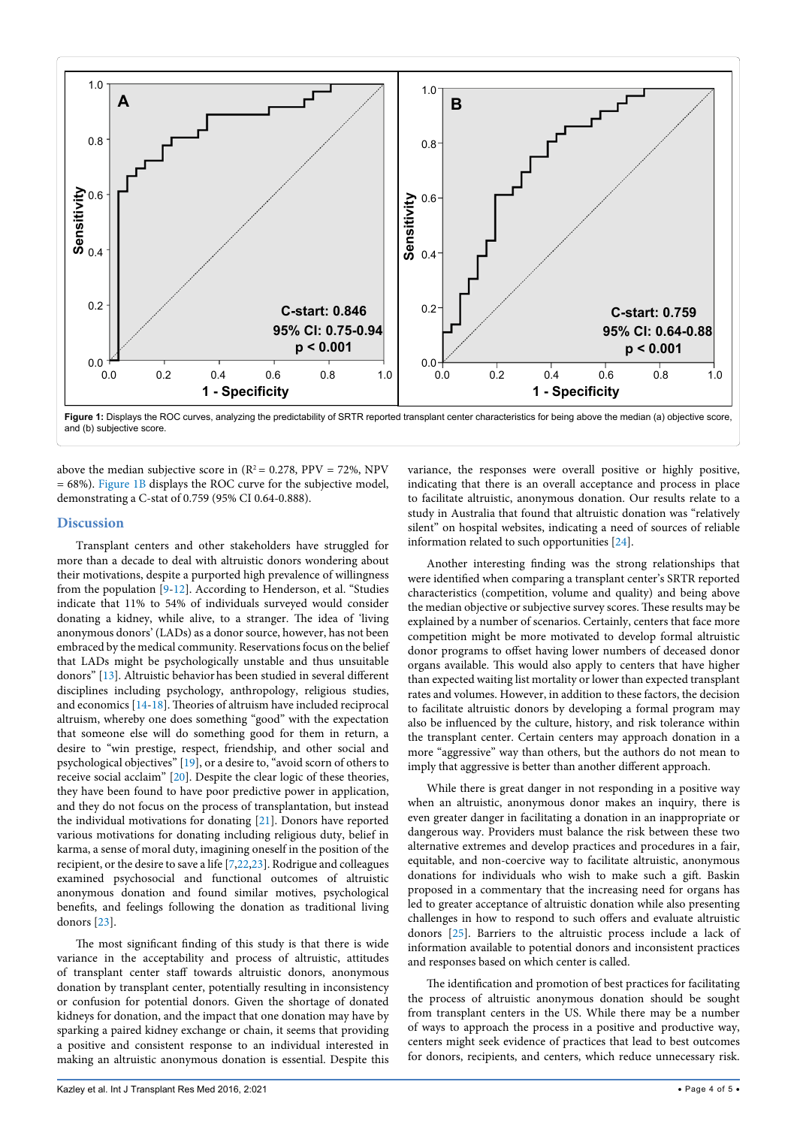<span id="page-3-0"></span>

above the median subjective score in  $(R^2 = 0.278, PPV = 72\%, NPV$ = 68%). [Figure 1B](#page-3-0) displays the ROC curve for the subjective model, demonstrating a C-stat of 0.759 (95% CI 0.64-0.888).

#### **Discussion**

Transplant centers and other stakeholders have struggled for more than a decade to deal with altruistic donors wondering about their motivations, despite a purported high prevalence of willingness from the population [\[9](#page-4-10)-[12](#page-4-11)]. According to Henderson, et al. "Studies indicate that 11% to 54% of individuals surveyed would consider donating a kidney, while alive, to a stranger. The idea of 'living anonymous donors' (LADs) as a donor source, however, has not been embraced by the medical community. Reservations focus on the belief that LADs might be psychologically unstable and thus unsuitable donors" [[13](#page-4-12)]. Altruistic behaviorhas been studied in several different disciplines including psychology, anthropology, religious studies, and economics [\[14](#page-4-13)[-18\]](#page-4-14). Theories of altruism have included reciprocal altruism, whereby one does something "good" with the expectation that someone else will do something good for them in return, a desire to "win prestige, respect, friendship, and other social and psychological objectives" [\[19\]](#page-4-15), or a desire to, "avoid scorn of others to receive social acclaim" [[20](#page-4-16)]. Despite the clear logic of these theories, they have been found to have poor predictive power in application, and they do not focus on the process of transplantation, but instead the individual motivations for donating [[21](#page-4-17)]. Donors have reported various motivations for donating including religious duty, belief in karma, a sense of moral duty, imagining oneself in the position of the recipient, or the desire to save a life [[7](#page-4-6)[,22,](#page-4-18)[23\]](#page-4-19). Rodrigue and colleagues examined psychosocial and functional outcomes of altruistic anonymous donation and found similar motives, psychological benefits, and feelings following the donation as traditional living donors [\[23\]](#page-4-19).

The most significant finding of this study is that there is wide variance in the acceptability and process of altruistic, attitudes of transplant center staff towards altruistic donors, anonymous donation by transplant center, potentially resulting in inconsistency or confusion for potential donors. Given the shortage of donated kidneys for donation, and the impact that one donation may have by sparking a paired kidney exchange or chain, it seems that providing a positive and consistent response to an individual interested in making an altruistic anonymous donation is essential. Despite this

variance, the responses were overall positive or highly positive, indicating that there is an overall acceptance and process in place to facilitate altruistic, anonymous donation. Our results relate to a study in Australia that found that altruistic donation was "relatively silent" on hospital websites, indicating a need of sources of reliable information related to such opportunities [[24](#page-4-8)].

Another interesting finding was the strong relationships that were identified when comparing a transplant center's SRTR reported characteristics (competition, volume and quality) and being above the median objective or subjective survey scores. These results may be explained by a number of scenarios. Certainly, centers that face more competition might be more motivated to develop formal altruistic donor programs to offset having lower numbers of deceased donor organs available. This would also apply to centers that have higher than expected waiting list mortality or lower than expected transplant rates and volumes. However, in addition to these factors, the decision to facilitate altruistic donors by developing a formal program may also be influenced by the culture, history, and risk tolerance within the transplant center. Certain centers may approach donation in a more "aggressive" way than others, but the authors do not mean to imply that aggressive is better than another different approach.

While there is great danger in not responding in a positive way when an altruistic, anonymous donor makes an inquiry, there is even greater danger in facilitating a donation in an inappropriate or dangerous way. Providers must balance the risk between these two alternative extremes and develop practices and procedures in a fair, equitable, and non-coercive way to facilitate altruistic, anonymous donations for individuals who wish to make such a gift. Baskin proposed in a commentary that the increasing need for organs has led to greater acceptance of altruistic donation while also presenting challenges in how to respond to such offers and evaluate altruistic donors [\[25\]](#page-4-9). Barriers to the altruistic process include a lack of information available to potential donors and inconsistent practices and responses based on which center is called.

The identification and promotion of best practices for facilitating the process of altruistic anonymous donation should be sought from transplant centers in the US. While there may be a number of ways to approach the process in a positive and productive way, centers might seek evidence of practices that lead to best outcomes for donors, recipients, and centers, which reduce unnecessary risk.